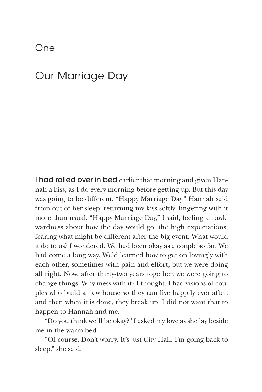## One

## Our Marriage Day

I had rolled over in bed earlier that morning and given Hannah a kiss, as I do every morning before getting up. But this day was going to be different. "Happy Marriage Day," Hannah said from out of her sleep, returning my kiss softly, lingering with it more than usual. "Happy Marriage Day," I said, feeling an awkwardness about how the day would go, the high expectations, fearing what might be different after the big event. What would it do to us? I wondered. We had been okay as a couple so far. We had come a long way. We'd learned how to get on lovingly with each other, sometimes with pain and effort, but we were doing all right. Now, after thirty-two years together, we were going to change things. Why mess with it? I thought. I had visions of couples who build a new house so they can live happily ever after, and then when it is done, they break up. I did not want that to happen to Hannah and me.

"Do you think we'll be okay?" I asked my love as she lay beside me in the warm bed.

"Of course. Don't worry. It's just City Hall. I'm going back to sleep," she said.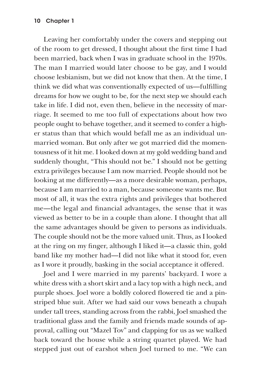Leaving her comfortably under the covers and stepping out of the room to get dressed, I thought about the first time I had been married, back when I was in graduate school in the 1970s. The man I married would later choose to be gay, and I would choose lesbianism, but we did not know that then. At the time, I think we did what was conventionally expected of us—fulfilling dreams for how we ought to be, for the next step we should each take in life. I did not, even then, believe in the necessity of marriage. It seemed to me too full of expectations about how two people ought to behave together, and it seemed to confer a higher status than that which would befall me as an individual unmarried woman. But only after we got married did the momentousness of it hit me. I looked down at my gold wedding band and suddenly thought, "This should not be." I should not be getting extra privileges because I am now married. People should not be looking at me differently—as a more desirable woman, perhaps, because I am married to a man, because someone wants me. But most of all, it was the extra rights and privileges that bothered me—the legal and financial advantages, the sense that it was viewed as better to be in a couple than alone. I thought that all the same advantages should be given to persons as individuals. The couple should not be the more valued unit. Thus, as I looked at the ring on my finger, although I liked it—a classic thin, gold band like my mother had—I did not like what it stood for, even as I wore it proudly, basking in the social acceptance it offered.

Joel and I were married in my parents' backyard. I wore a white dress with a short skirt and a lacy top with a high neck, and purple shoes. Joel wore a boldly colored flowered tie and a pinstriped blue suit. After we had said our vows beneath a chupah under tall trees, standing across from the rabbi, Joel smashed the traditional glass and the family and friends made sounds of approval, calling out "Mazel Tov" and clapping for us as we walked back toward the house while a string quartet played. We had stepped just out of earshot when Joel turned to me. "We can